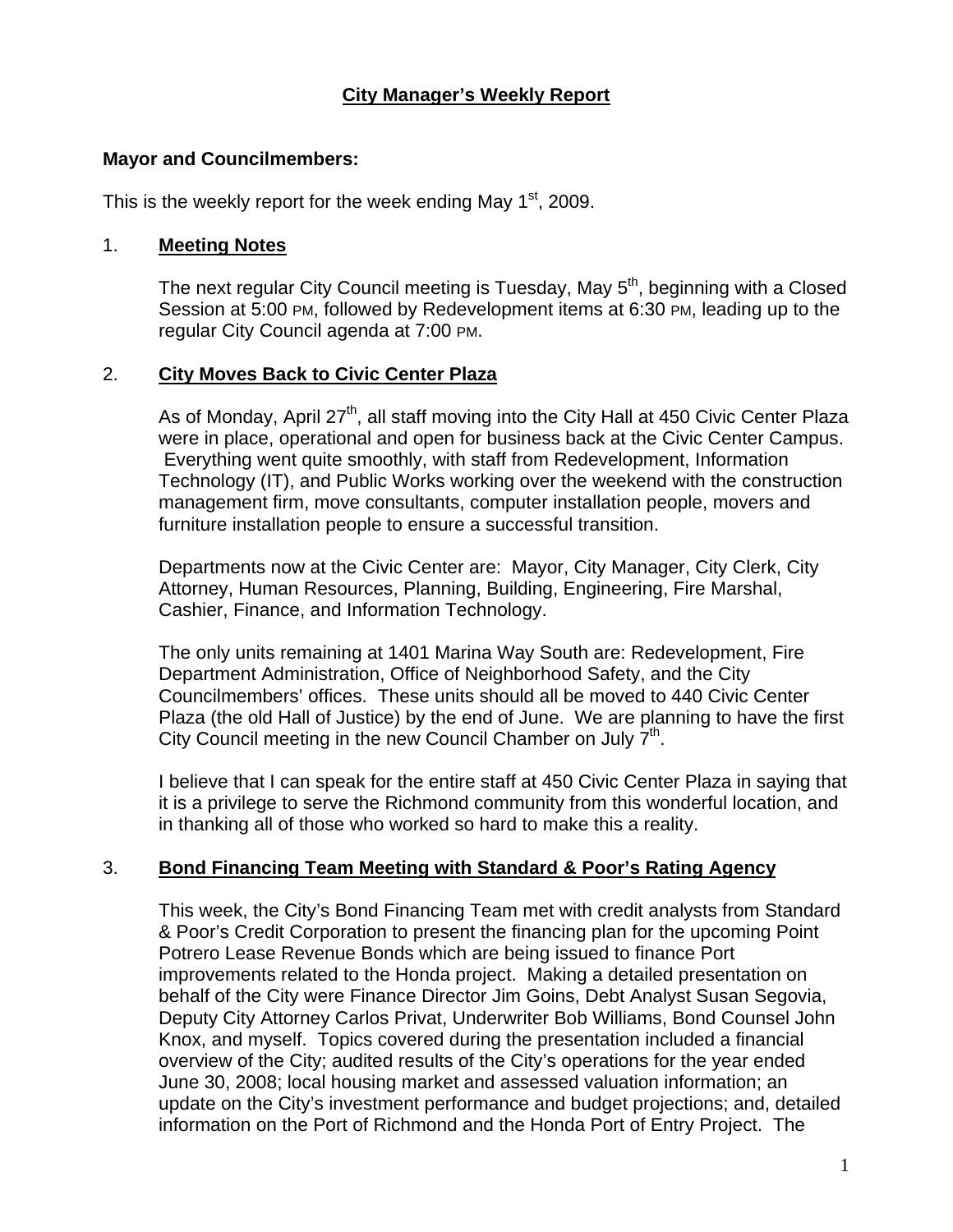#### **City Manager's Weekly Report**

#### **Mayor and Councilmembers:**

This is the weekly report for the week ending May  $1<sup>st</sup>$ , 2009.

#### 1. **Meeting Notes**

The next regular City Council meeting is Tuesday, May 5<sup>th</sup>, beginning with a Closed Session at 5:00 PM, followed by Redevelopment items at 6:30 PM, leading up to the regular City Council agenda at 7:00 PM.

## 2. **City Moves Back to Civic Center Plaza**

As of Monday, April  $27<sup>th</sup>$ , all staff moving into the City Hall at 450 Civic Center Plaza were in place, operational and open for business back at the Civic Center Campus. Everything went quite smoothly, with staff from Redevelopment, Information Technology (IT), and Public Works working over the weekend with the construction management firm, move consultants, computer installation people, movers and furniture installation people to ensure a successful transition.

Departments now at the Civic Center are: Mayor, City Manager, City Clerk, City Attorney, Human Resources, Planning, Building, Engineering, Fire Marshal, Cashier, Finance, and Information Technology.

The only units remaining at 1401 Marina Way South are: Redevelopment, Fire Department Administration, Office of Neighborhood Safety, and the City Councilmembers' offices. These units should all be moved to 440 Civic Center Plaza (the old Hall of Justice) by the end of June. We are planning to have the first City Council meeting in the new Council Chamber on July  $7<sup>th</sup>$ .

I believe that I can speak for the entire staff at 450 Civic Center Plaza in saying that it is a privilege to serve the Richmond community from this wonderful location, and in thanking all of those who worked so hard to make this a reality.

## 3. **Bond Financing Team Meeting with Standard & Poor's Rating Agency**

This week, the City's Bond Financing Team met with credit analysts from Standard & Poor's Credit Corporation to present the financing plan for the upcoming Point Potrero Lease Revenue Bonds which are being issued to finance Port improvements related to the Honda project. Making a detailed presentation on behalf of the City were Finance Director Jim Goins, Debt Analyst Susan Segovia, Deputy City Attorney Carlos Privat, Underwriter Bob Williams, Bond Counsel John Knox, and myself. Topics covered during the presentation included a financial overview of the City; audited results of the City's operations for the year ended June 30, 2008; local housing market and assessed valuation information; an update on the City's investment performance and budget projections; and, detailed information on the Port of Richmond and the Honda Port of Entry Project. The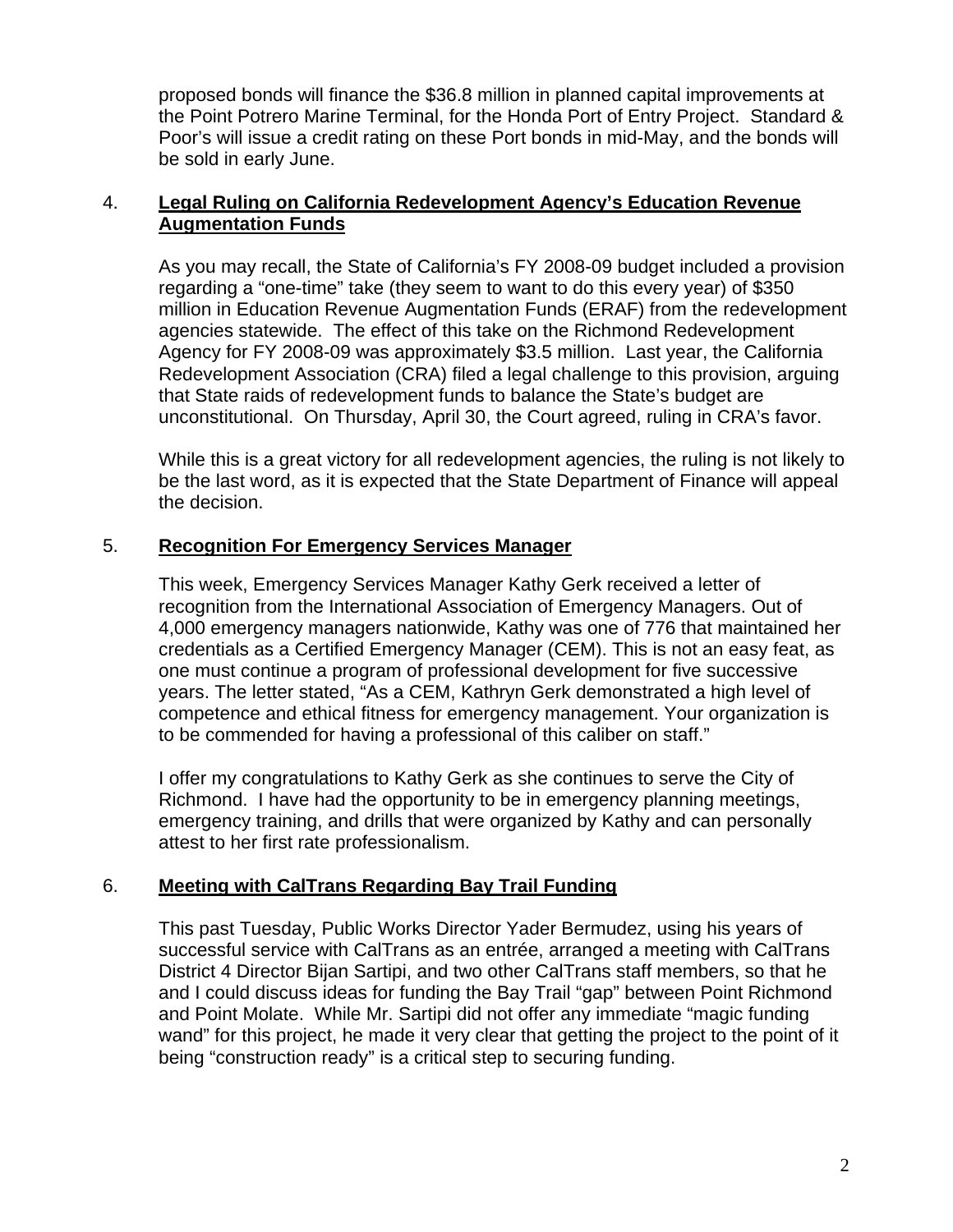proposed bonds will finance the \$36.8 million in planned capital improvements at the Point Potrero Marine Terminal, for the Honda Port of Entry Project. Standard & Poor's will issue a credit rating on these Port bonds in mid-May, and the bonds will be sold in early June.

#### 4. **Legal Ruling on California Redevelopment Agency's Education Revenue Augmentation Funds**

As you may recall, the State of California's FY 2008-09 budget included a provision regarding a "one-time" take (they seem to want to do this every year) of \$350 million in Education Revenue Augmentation Funds (ERAF) from the redevelopment agencies statewide. The effect of this take on the Richmond Redevelopment Agency for FY 2008-09 was approximately \$3.5 million. Last year, the California Redevelopment Association (CRA) filed a legal challenge to this provision, arguing that State raids of redevelopment funds to balance the State's budget are unconstitutional. On Thursday, April 30, the Court agreed, ruling in CRA's favor.

While this is a great victory for all redevelopment agencies, the ruling is not likely to be the last word, as it is expected that the State Department of Finance will appeal the decision.

# 5. **Recognition For Emergency Services Manager**

This week, Emergency Services Manager Kathy Gerk received a letter of recognition from the International Association of Emergency Managers. Out of 4,000 emergency managers nationwide, Kathy was one of 776 that maintained her credentials as a Certified Emergency Manager (CEM). This is not an easy feat, as one must continue a program of professional development for five successive years. The letter stated, "As a CEM, Kathryn Gerk demonstrated a high level of competence and ethical fitness for emergency management. Your organization is to be commended for having a professional of this caliber on staff."

I offer my congratulations to Kathy Gerk as she continues to serve the City of Richmond. I have had the opportunity to be in emergency planning meetings, emergency training, and drills that were organized by Kathy and can personally attest to her first rate professionalism.

## 6. **Meeting with CalTrans Regarding Bay Trail Funding**

This past Tuesday, Public Works Director Yader Bermudez, using his years of successful service with CalTrans as an entrée, arranged a meeting with CalTrans District 4 Director Bijan Sartipi, and two other CalTrans staff members, so that he and I could discuss ideas for funding the Bay Trail "gap" between Point Richmond and Point Molate. While Mr. Sartipi did not offer any immediate "magic funding wand" for this project, he made it very clear that getting the project to the point of it being "construction ready" is a critical step to securing funding.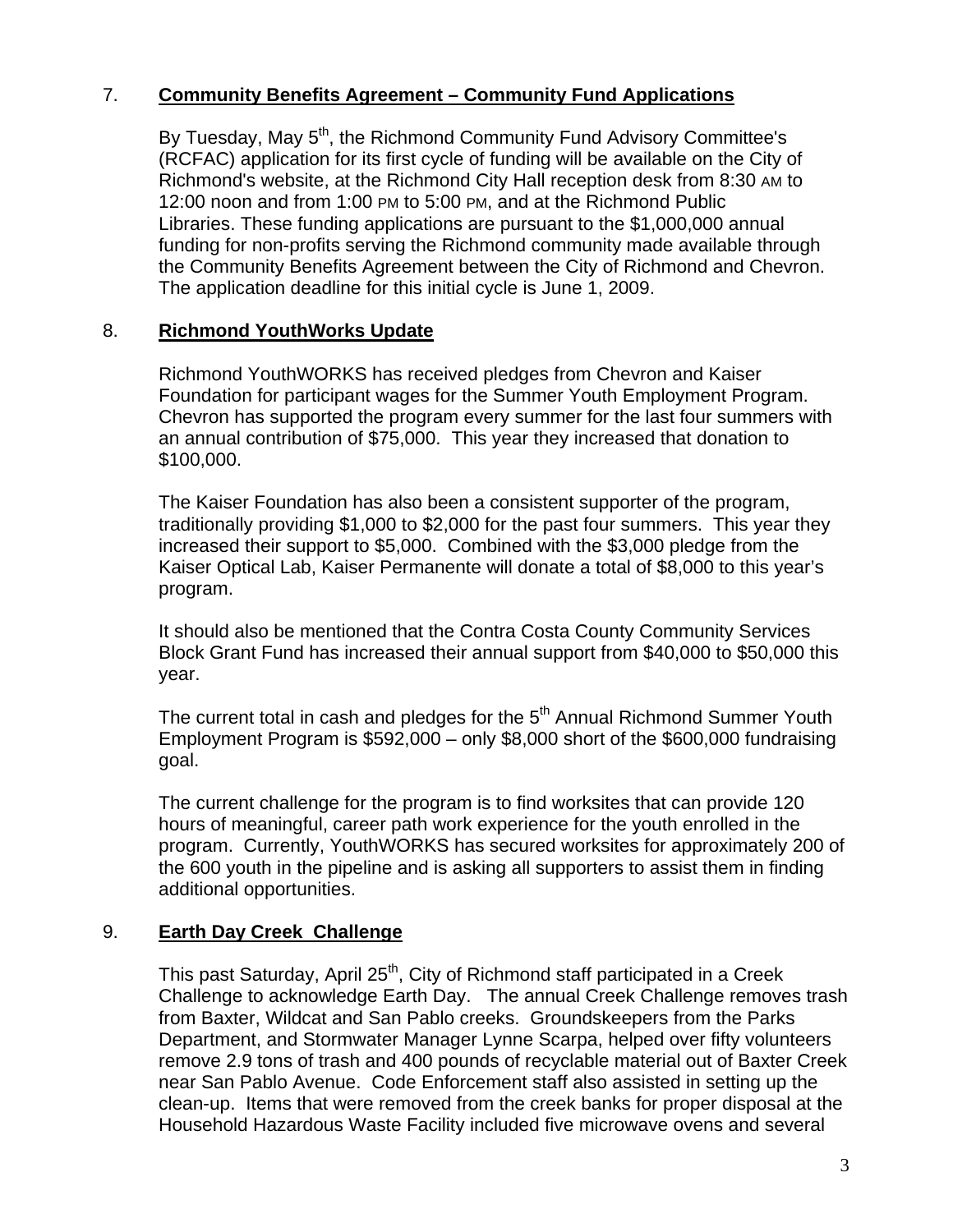## 7. **Community Benefits Agreement – Community Fund Applications**

By Tuesday, May 5<sup>th</sup>, the Richmond Community Fund Advisory Committee's (RCFAC) application for its first cycle of funding will be available on the City of Richmond's website, at the Richmond City Hall reception desk from 8:30 AM to 12:00 noon and from 1:00 PM to 5:00 PM, and at the Richmond Public Libraries. These funding applications are pursuant to the \$1,000,000 annual funding for non-profits serving the Richmond community made available through the Community Benefits Agreement between the City of Richmond and Chevron. The application deadline for this initial cycle is June 1, 2009.

#### 8. **Richmond YouthWorks Update**

Richmond YouthWORKS has received pledges from Chevron and Kaiser Foundation for participant wages for the Summer Youth Employment Program. Chevron has supported the program every summer for the last four summers with an annual contribution of \$75,000. This year they increased that donation to \$100,000.

The Kaiser Foundation has also been a consistent supporter of the program, traditionally providing \$1,000 to \$2,000 for the past four summers. This year they increased their support to \$5,000. Combined with the \$3,000 pledge from the Kaiser Optical Lab, Kaiser Permanente will donate a total of \$8,000 to this year's program.

It should also be mentioned that the Contra Costa County Community Services Block Grant Fund has increased their annual support from \$40,000 to \$50,000 this year.

The current total in cash and pledges for the  $5<sup>th</sup>$  Annual Richmond Summer Youth Employment Program is \$592,000 – only \$8,000 short of the \$600,000 fundraising goal.

The current challenge for the program is to find worksites that can provide 120 hours of meaningful, career path work experience for the youth enrolled in the program. Currently, YouthWORKS has secured worksites for approximately 200 of the 600 youth in the pipeline and is asking all supporters to assist them in finding additional opportunities.

## 9. **Earth Day Creek Challenge**

This past Saturday, April 25<sup>th</sup>, City of Richmond staff participated in a Creek Challenge to acknowledge Earth Day. The annual Creek Challenge removes trash from Baxter, Wildcat and San Pablo creeks. Groundskeepers from the Parks Department, and Stormwater Manager Lynne Scarpa, helped over fifty volunteers remove 2.9 tons of trash and 400 pounds of recyclable material out of Baxter Creek near San Pablo Avenue. Code Enforcement staff also assisted in setting up the clean-up. Items that were removed from the creek banks for proper disposal at the Household Hazardous Waste Facility included five microwave ovens and several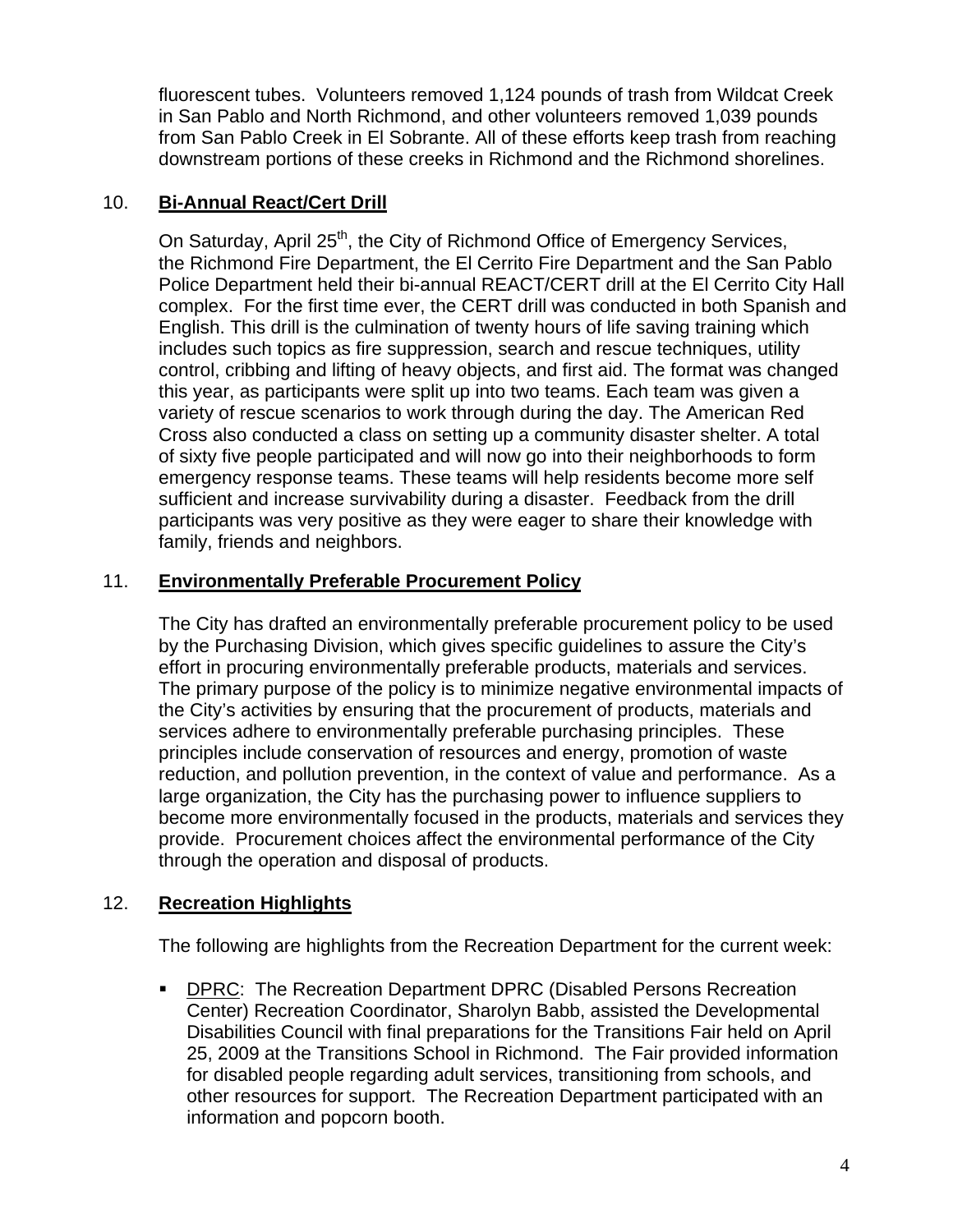fluorescent tubes. Volunteers removed 1,124 pounds of trash from Wildcat Creek in San Pablo and North Richmond, and other volunteers removed 1,039 pounds from San Pablo Creek in El Sobrante. All of these efforts keep trash from reaching downstream portions of these creeks in Richmond and the Richmond shorelines.

# 10. **Bi-Annual React/Cert Drill**

On Saturday, April 25<sup>th</sup>, the City of Richmond Office of Emergency Services, the Richmond Fire Department, the El Cerrito Fire Department and the San Pablo Police Department held their bi-annual REACT/CERT drill at the El Cerrito City Hall complex. For the first time ever, the CERT drill was conducted in both Spanish and English. This drill is the culmination of twenty hours of life saving training which includes such topics as fire suppression, search and rescue techniques, utility control, cribbing and lifting of heavy objects, and first aid. The format was changed this year, as participants were split up into two teams. Each team was given a variety of rescue scenarios to work through during the day. The American Red Cross also conducted a class on setting up a community disaster shelter. A total of sixty five people participated and will now go into their neighborhoods to form emergency response teams. These teams will help residents become more self sufficient and increase survivability during a disaster. Feedback from the drill participants was very positive as they were eager to share their knowledge with family, friends and neighbors.

# 11. **Environmentally Preferable Procurement Policy**

The City has drafted an environmentally preferable procurement policy to be used by the Purchasing Division, which gives specific guidelines to assure the City's effort in procuring environmentally preferable products, materials and services. The primary purpose of the policy is to minimize negative environmental impacts of the City's activities by ensuring that the procurement of products, materials and services adhere to environmentally preferable purchasing principles. These principles include conservation of resources and energy, promotion of waste reduction, and pollution prevention, in the context of value and performance. As a large organization, the City has the purchasing power to influence suppliers to become more environmentally focused in the products, materials and services they provide. Procurement choices affect the environmental performance of the City through the operation and disposal of products.

# 12. **Recreation Highlights**

The following are highlights from the Recreation Department for the current week:

**DPRC: The Recreation Department DPRC (Disabled Persons Recreation** Center) Recreation Coordinator, Sharolyn Babb, assisted the Developmental Disabilities Council with final preparations for the Transitions Fair held on April 25, 2009 at the Transitions School in Richmond. The Fair provided information for disabled people regarding adult services, transitioning from schools, and other resources for support. The Recreation Department participated with an information and popcorn booth.